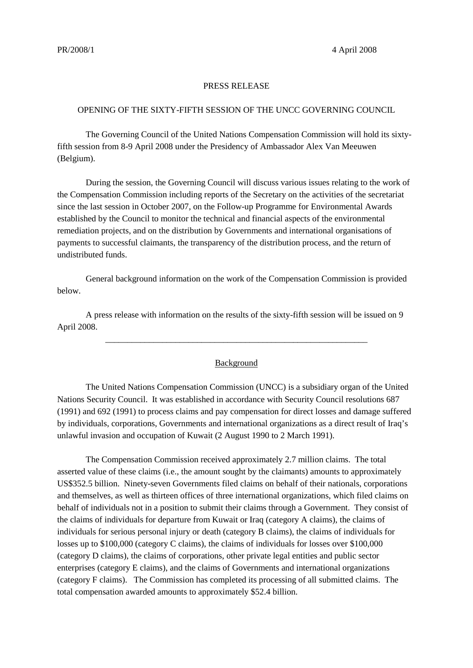## PRESS RELEASE

## OPENING OF THE SIXTY-FIFTH SESSION OF THE UNCC GOVERNING COUNCIL

The Governing Council of the United Nations Compensation Commission will hold its sixtyfifth session from 8-9 April 2008 under the Presidency of Ambassador Alex Van Meeuwen (Belgium).

During the session, the Governing Council will discuss various issues relating to the work of the Compensation Commission including reports of the Secretary on the activities of the secretariat since the last session in October 2007, on the Follow-up Programme for Environmental Awards established by the Council to monitor the technical and financial aspects of the environmental remediation projects, and on the distribution by Governments and international organisations of payments to successful claimants, the transparency of the distribution process, and the return of undistributed funds.

General background information on the work of the Compensation Commission is provided below.

A press release with information on the results of the sixty-fifth session will be issued on 9 April 2008.

## Background

\_\_\_\_\_\_\_\_\_\_\_\_\_\_\_\_\_\_\_\_\_\_\_\_\_\_\_\_\_\_\_\_\_\_\_\_\_\_\_\_\_\_\_\_\_\_\_\_\_\_\_\_\_\_\_\_\_\_\_\_

The United Nations Compensation Commission (UNCC) is a subsidiary organ of the United Nations Security Council. It was established in accordance with Security Council resolutions 687 (1991) and 692 (1991) to process claims and pay compensation for direct losses and damage suffered by individuals, corporations, Governments and international organizations as a direct result of Iraq's unlawful invasion and occupation of Kuwait (2 August 1990 to 2 March 1991).

The Compensation Commission received approximately 2.7 million claims. The total asserted value of these claims (i.e., the amount sought by the claimants) amounts to approximately US\$352.5 billion. Ninety-seven Governments filed claims on behalf of their nationals, corporations and themselves, as well as thirteen offices of three international organizations, which filed claims on behalf of individuals not in a position to submit their claims through a Government. They consist of the claims of individuals for departure from Kuwait or Iraq (category A claims), the claims of individuals for serious personal injury or death (category B claims), the claims of individuals for losses up to \$100,000 (category C claims), the claims of individuals for losses over \$100,000 (category D claims), the claims of corporations, other private legal entities and public sector enterprises (category E claims), and the claims of Governments and international organizations (category F claims). The Commission has completed its processing of all submitted claims. The total compensation awarded amounts to approximately \$52.4 billion.